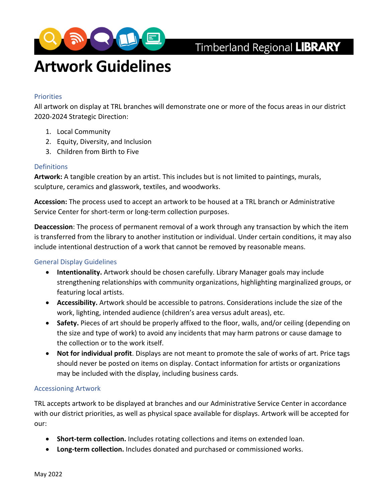

# Timberland Regional LIBRARY

# **Artwork Guidelines**

#### **Priorities**

All artwork on display at TRL branches will demonstrate one or more of the focus areas in our district 2020-2024 Strategic Direction:

- 1. Local Community
- 2. Equity, Diversity, and Inclusion
- 3. Children from Birth to Five

#### Definitions

**Artwork:** A tangible creation by an artist. This includes but is not limited to paintings, murals, sculpture, ceramics and glasswork, textiles, and woodworks.

**Accession:** The process used to accept an artwork to be housed at a TRL branch or Administrative Service Center for short-term or long-term collection purposes.

**Deaccession**: The process of permanent removal of a work through any transaction by which the item is transferred from the library to another institution or individual. Under certain conditions, it may also include intentional destruction of a work that cannot be removed by reasonable means.

#### General Display Guidelines

- **Intentionality.** Artwork should be chosen carefully. Library Manager goals may include strengthening relationships with community organizations, highlighting marginalized groups, or featuring local artists.
- **Accessibility.** Artwork should be accessible to patrons. Considerations include the size of the work, lighting, intended audience (children's area versus adult areas), etc.
- **Safety.** Pieces of art should be properly affixed to the floor, walls, and/or ceiling (depending on the size and type of work) to avoid any incidents that may harm patrons or cause damage to the collection or to the work itself.
- **Not for individual profit**. Displays are not meant to promote the sale of works of art. Price tags should never be posted on items on display. Contact information for artists or organizations may be included with the display, including business cards.

#### Accessioning Artwork

TRL accepts artwork to be displayed at branches and our Administrative Service Center in accordance with our district priorities, as well as physical space available for displays. Artwork will be accepted for our:

- **Short-term collection.** Includes rotating collections and items on extended loan.
- **Long-term collection.** Includes donated and purchased or commissioned works.